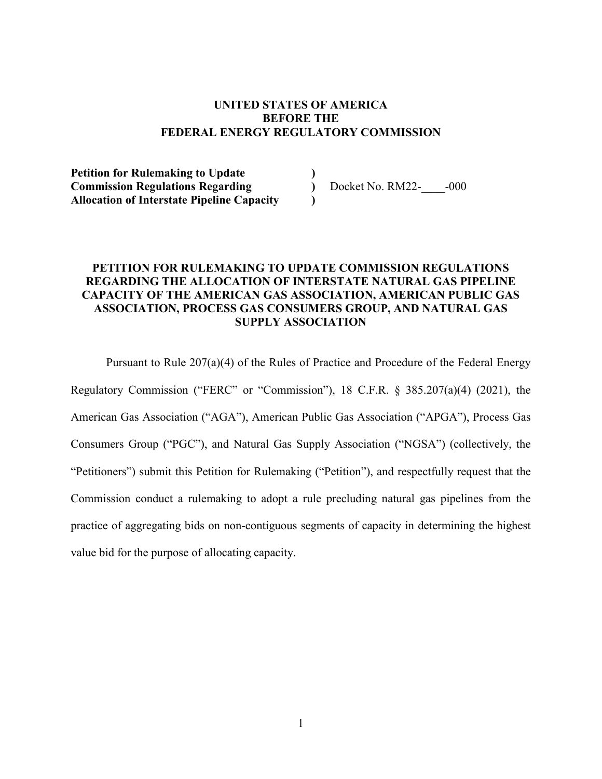#### **UNITED STATES OF AMERICA BEFORE THE FEDERAL ENERGY REGULATORY COMMISSION**

**Petition for Rulemaking to Update ) Commission Regulations Regarding )** Docket No. RM22-\_\_\_\_-000 **Allocation of Interstate Pipeline Capacity )** 

# **PETITION FOR RULEMAKING TO UPDATE COMMISSION REGULATIONS REGARDING THE ALLOCATION OF INTERSTATE NATURAL GAS PIPELINE CAPACITY OF THE AMERICAN GAS ASSOCIATION, AMERICAN PUBLIC GAS ASSOCIATION, PROCESS GAS CONSUMERS GROUP, AND NATURAL GAS SUPPLY ASSOCIATION**

Pursuant to Rule 207(a)(4) of the Rules of Practice and Procedure of the Federal Energy Regulatory Commission ("FERC" or "Commission"), 18 C.F.R. § 385.207(a)(4) (2021), the American Gas Association ("AGA"), American Public Gas Association ("APGA"), Process Gas Consumers Group ("PGC"), and Natural Gas Supply Association ("NGSA") (collectively, the "Petitioners") submit this Petition for Rulemaking ("Petition"), and respectfully request that the Commission conduct a rulemaking to adopt a rule precluding natural gas pipelines from the practice of aggregating bids on non-contiguous segments of capacity in determining the highest value bid for the purpose of allocating capacity.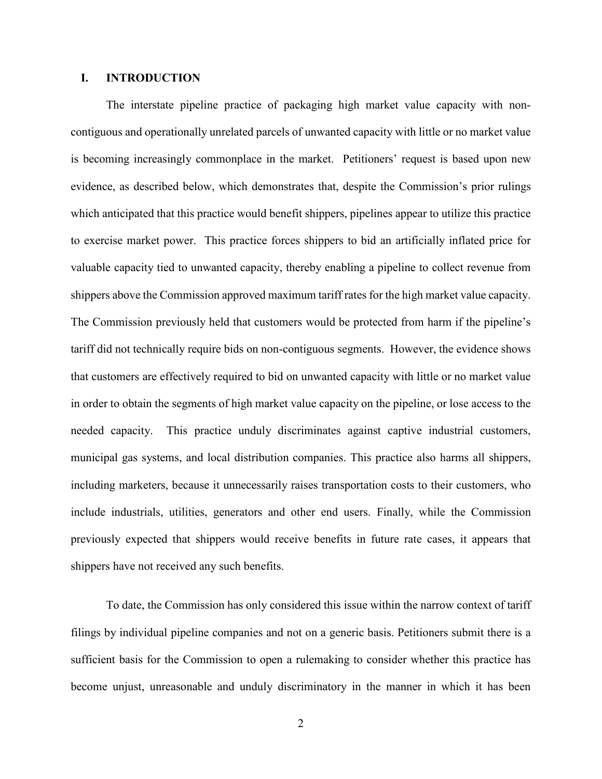## **I. INTRODUCTION**

The interstate pipeline practice of packaging high market value capacity with noncontiguous and operationally unrelated parcels of unwanted capacity with little or no market value is becoming increasingly commonplace in the market. Petitioners' request is based upon new evidence, as described below, which demonstrates that, despite the Commission's prior rulings which anticipated that this practice would benefit shippers, pipelines appear to utilize this practice to exercise market power. This practice forces shippers to bid an artificially inflated price for valuable capacity tied to unwanted capacity, thereby enabling a pipeline to collect revenue from shippers above the Commission approved maximum tariff rates for the high market value capacity. The Commission previously held that customers would be protected from harm if the pipeline's tariff did not technically require bids on non-contiguous segments. However, the evidence shows that customers are effectively required to bid on unwanted capacity with little or no market value in order to obtain the segments of high market value capacity on the pipeline, or lose access to the needed capacity. This practice unduly discriminates against captive industrial customers, municipal gas systems, and local distribution companies. This practice also harms all shippers, including marketers, because it unnecessarily raises transportation costs to their customers, who include industrials, utilities, generators and other end users. Finally, while the Commission previously expected that shippers would receive benefits in future rate cases, it appears that shippers have not received any such benefits.

To date, the Commission has only considered this issue within the narrow context of tariff filings by individual pipeline companies and not on a generic basis. Petitioners submit there is a sufficient basis for the Commission to open a rulemaking to consider whether this practice has become unjust, unreasonable and unduly discriminatory in the manner in which it has been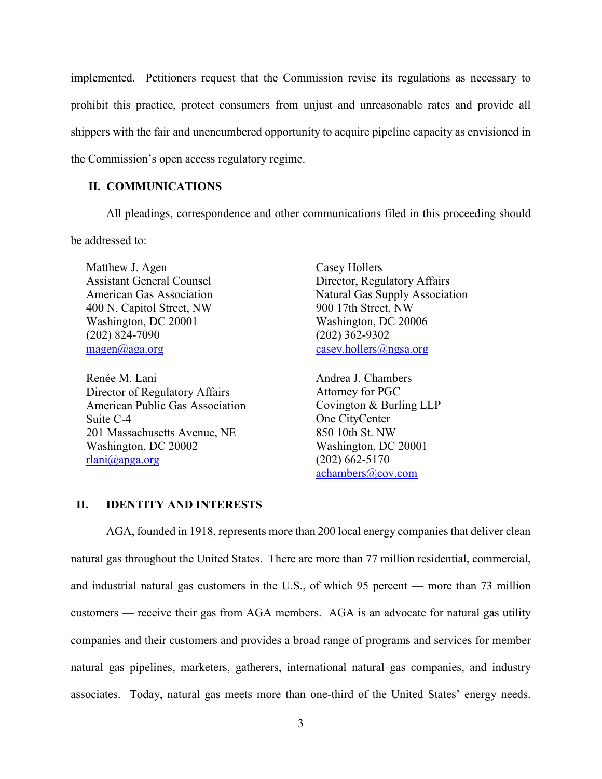implemented. Petitioners request that the Commission revise its regulations as necessary to prohibit this practice, protect consumers from unjust and unreasonable rates and provide all shippers with the fair and unencumbered opportunity to acquire pipeline capacity as envisioned in the Commission's open access regulatory regime.

## **II. COMMUNICATIONS**

All pleadings, correspondence and other communications filed in this proceeding should be addressed to:

Matthew J. Agen Casey Hollers 400 N. Capitol Street, NW 900 17th Street, NW Washington, DC 20001 Washington, DC 20006 (202) 824-7090 (202) 362-9302 [magen@aga.org](mailto:magen@aga.org) [casey.hollers@ngsa.org](mailto:casey.hollers@ngsa.org)

Renée M. Lani Director of Regulatory Affairs American Public Gas Association Suite C-4 201 Massachusetts Avenue, NE Washington, DC 20002 [rlani@apga.org](mailto:rlani@apga.org)

Assistant General Counsel **Director**, Regulatory Affairs American Gas Association Natural Gas Supply Association

> Andrea J. Chambers Attorney for PGC Covington & Burling LLP One CityCenter 850 10th St. NW Washington, DC 20001 (202) 662-5170 [achambers@cov.com](mailto:achambers@cov.com)

#### **II. IDENTITY AND INTERESTS**

AGA, founded in 1918, represents more than 200 local energy companies that deliver clean natural gas throughout the United States. There are more than 77 million residential, commercial, and industrial natural gas customers in the U.S., of which 95 percent — more than 73 million customers — receive their gas from AGA members. AGA is an advocate for natural gas utility companies and their customers and provides a broad range of programs and services for member natural gas pipelines, marketers, gatherers, international natural gas companies, and industry associates. Today, natural gas meets more than one-third of the United States' energy needs.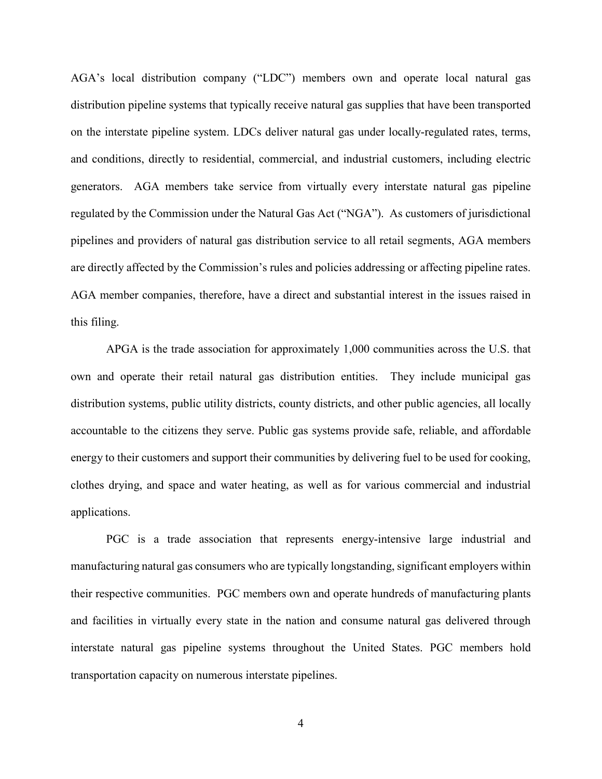AGA's local distribution company ("LDC") members own and operate local natural gas distribution pipeline systems that typically receive natural gas supplies that have been transported on the interstate pipeline system. LDCs deliver natural gas under locally-regulated rates, terms, and conditions, directly to residential, commercial, and industrial customers, including electric generators. AGA members take service from virtually every interstate natural gas pipeline regulated by the Commission under the Natural Gas Act ("NGA"). As customers of jurisdictional pipelines and providers of natural gas distribution service to all retail segments, AGA members are directly affected by the Commission's rules and policies addressing or affecting pipeline rates. AGA member companies, therefore, have a direct and substantial interest in the issues raised in this filing.

APGA is the trade association for approximately 1,000 communities across the U.S. that own and operate their retail natural gas distribution entities. They include municipal gas distribution systems, public utility districts, county districts, and other public agencies, all locally accountable to the citizens they serve. Public gas systems provide safe, reliable, and affordable energy to their customers and support their communities by delivering fuel to be used for cooking, clothes drying, and space and water heating, as well as for various commercial and industrial applications.

PGC is a trade association that represents energy-intensive large industrial and manufacturing natural gas consumers who are typically longstanding, significant employers within their respective communities. PGC members own and operate hundreds of manufacturing plants and facilities in virtually every state in the nation and consume natural gas delivered through interstate natural gas pipeline systems throughout the United States. PGC members hold transportation capacity on numerous interstate pipelines.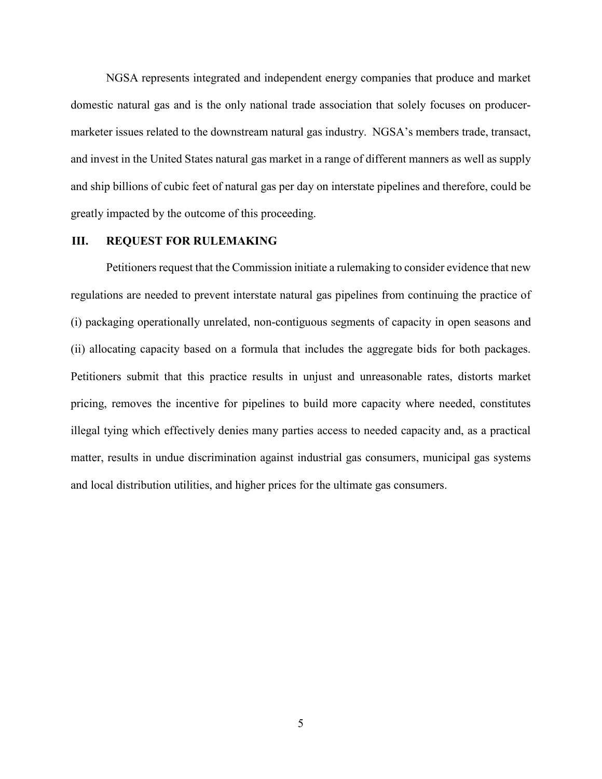NGSA represents integrated and independent energy companies that produce and market domestic natural gas and is the only national trade association that solely focuses on producermarketer issues related to the downstream natural gas industry. NGSA's members trade, transact, and invest in the United States natural gas market in a range of different manners as well as supply and ship billions of cubic feet of natural gas per day on interstate pipelines and therefore, could be greatly impacted by the outcome of this proceeding.

#### **III. REQUEST FOR RULEMAKING**

Petitioners request that the Commission initiate a rulemaking to consider evidence that new regulations are needed to prevent interstate natural gas pipelines from continuing the practice of (i) packaging operationally unrelated, non-contiguous segments of capacity in open seasons and (ii) allocating capacity based on a formula that includes the aggregate bids for both packages. Petitioners submit that this practice results in unjust and unreasonable rates, distorts market pricing, removes the incentive for pipelines to build more capacity where needed, constitutes illegal tying which effectively denies many parties access to needed capacity and, as a practical matter, results in undue discrimination against industrial gas consumers, municipal gas systems and local distribution utilities, and higher prices for the ultimate gas consumers.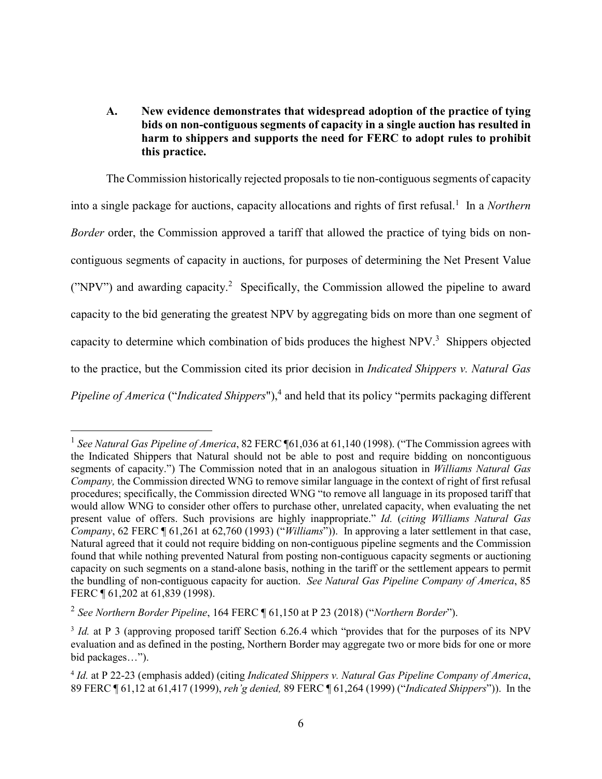# **A. New evidence demonstrates that widespread adoption of the practice of tying bids on non-contiguous segments of capacity in a single auction has resulted in harm to shippers and supports the need for FERC to adopt rules to prohibit this practice.**

The Commission historically rejected proposals to tie non-contiguous segments of capacity into a single package for auctions, capacity allocations and rights of first refusal.<sup>[1](#page-5-0)</sup> In a *Northern Border* order, the Commission approved a tariff that allowed the practice of tying bids on noncontiguous segments of capacity in auctions, for purposes of determining the Net Present Value ("NPV")and awarding capacity.<sup>2</sup> Specifically, the Commission allowed the pipeline to award capacity to the bid generating the greatest NPV by aggregating bids on more than one segment of capacity to determine which combination of bids produces the highest  $NPV<sup>3</sup>$  $NPV<sup>3</sup>$  $NPV<sup>3</sup>$  Shippers objected to the practice, but the Commission cited its prior decision in *Indicated Shippers v. Natural Gas Pipeline of America* ("*Indicated Shippers*")[,](#page-5-3)<sup>4</sup> and held that its policy "permits packaging different

<span id="page-5-0"></span><sup>&</sup>lt;sup>1</sup> See Natural Gas Pipeline of America, 82 FERC ¶61,036 at 61,140 (1998). ("The Commission agrees with the Indicated Shippers that Natural should not be able to post and require bidding on noncontiguous segments of capacity.") The Commission noted that in an analogous situation in *Williams Natural Gas Company,* the Commission directed WNG to remove similar language in the context of right of first refusal procedures; specifically, the Commission directed WNG "to remove all language in its proposed tariff that would allow WNG to consider other offers to purchase other, unrelated capacity, when evaluating the net present value of offers. Such provisions are highly inappropriate." *Id.* (*citing Williams Natural Gas Company*, 62 FERC ¶ 61,261 at 62,760 (1993) ("*Williams*")). In approving a later settlement in that case, Natural agreed that it could not require bidding on non-contiguous pipeline segments and the Commission found that while nothing prevented Natural from posting non-contiguous capacity segments or auctioning capacity on such segments on a stand-alone basis, nothing in the tariff or the settlement appears to permit the bundling of non-contiguous capacity for auction. *See Natural Gas Pipeline Company of America*, 85 FERC ¶ 61,202 at 61,839 (1998).

<span id="page-5-1"></span><sup>2</sup> *See Northern Border Pipeline*, 164 FERC ¶ 61,150 at P 23 (2018) ("*Northern Border*").

<span id="page-5-2"></span><sup>&</sup>lt;sup>3</sup> *Id.* at P 3 (approving proposed tariff Section 6.26.4 which "provides that for the purposes of its NPV evaluation and as defined in the posting, Northern Border may aggregate two or more bids for one or more bid packages…").

<span id="page-5-3"></span><sup>4</sup> *Id.* at P 22-23 (emphasis added) (citing *Indicated Shippers v. Natural Gas Pipeline Company of America*, 89 FERC ¶ 61,12 at 61,417 (1999), *reh'g denied,* 89 FERC ¶ 61,264 (1999) ("*Indicated Shippers*")). In the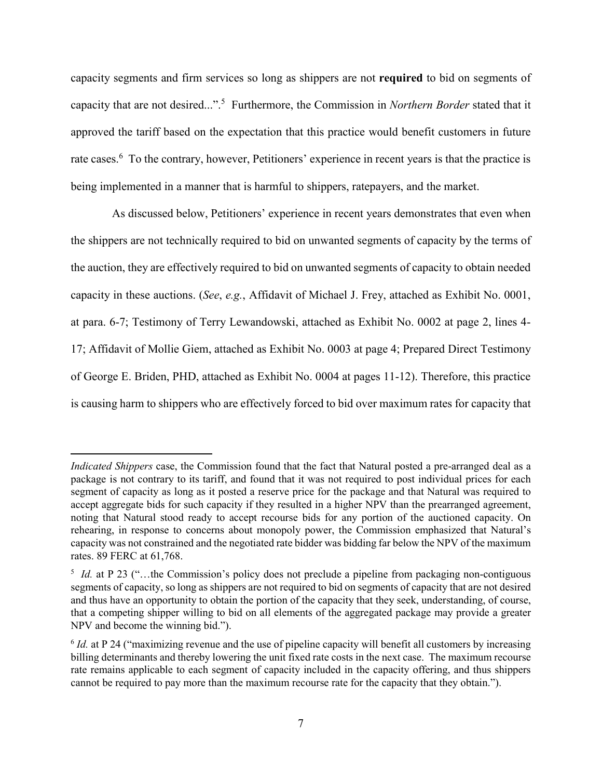capacity segments and firm services so long as shippers are not **required** to bid on segments of capacity that are not desired...".[5](#page-6-0) Furthermore, the Commission in *Northern Border* stated that it approved the tariff based on the expectation that this practice would benefit customers in future rate cases.<sup>[6](#page-6-1)</sup> To the contrary, however, Petitioners' experience in recent years is that the practice is being implemented in a manner that is harmful to shippers, ratepayers, and the market.

 As discussed below, Petitioners' experience in recent years demonstrates that even when the shippers are not technically required to bid on unwanted segments of capacity by the terms of the auction, they are effectively required to bid on unwanted segments of capacity to obtain needed capacity in these auctions. (*See*, *e.g.*, Affidavit of Michael J. Frey, attached as Exhibit No. 0001, at para. 6-7; Testimony of Terry Lewandowski, attached as Exhibit No. 0002 at page 2, lines 4- 17; Affidavit of Mollie Giem, attached as Exhibit No. 0003 at page 4; Prepared Direct Testimony of George E. Briden, PHD, attached as Exhibit No. 0004 at pages 11-12). Therefore, this practice is causing harm to shippers who are effectively forced to bid over maximum rates for capacity that

*Indicated Shippers* case, the Commission found that the fact that Natural posted a pre-arranged deal as a package is not contrary to its tariff, and found that it was not required to post individual prices for each segment of capacity as long as it posted a reserve price for the package and that Natural was required to accept aggregate bids for such capacity if they resulted in a higher NPV than the prearranged agreement, noting that Natural stood ready to accept recourse bids for any portion of the auctioned capacity. On rehearing, in response to concerns about monopoly power, the Commission emphasized that Natural's capacity was not constrained and the negotiated rate bidder was bidding far below the NPV of the maximum rates. 89 FERC at 61,768.

<span id="page-6-0"></span><sup>&</sup>lt;sup>5</sup> *Id.* at P 23 ("...the Commission's policy does not preclude a pipeline from packaging non-contiguous segments of capacity, so long as shippers are not required to bid on segments of capacity that are not desired and thus have an opportunity to obtain the portion of the capacity that they seek, understanding, of course, that a competing shipper willing to bid on all elements of the aggregated package may provide a greater NPV and become the winning bid.").

<span id="page-6-1"></span><sup>&</sup>lt;sup>6</sup> *Id.* at P 24 ("maximizing revenue and the use of pipeline capacity will benefit all customers by increasing billing determinants and thereby lowering the unit fixed rate costs in the next case. The maximum recourse rate remains applicable to each segment of capacity included in the capacity offering, and thus shippers cannot be required to pay more than the maximum recourse rate for the capacity that they obtain.").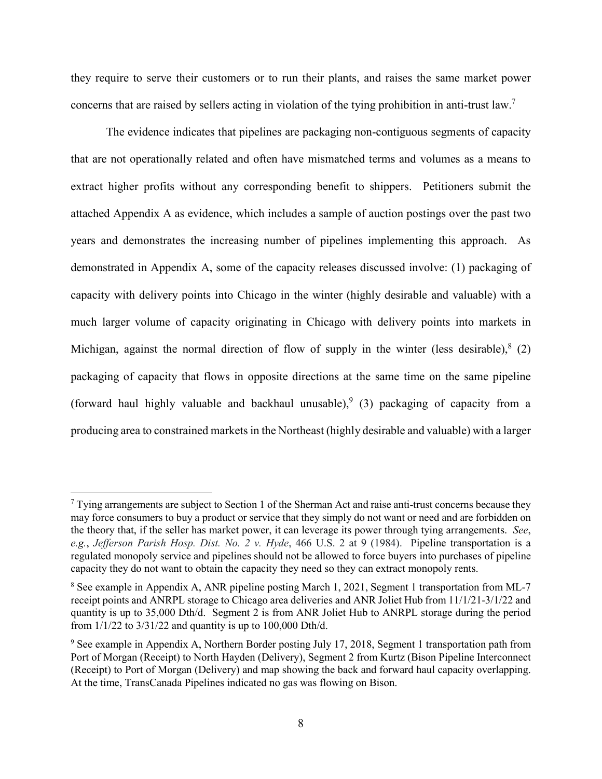they require to serve their customers or to run their plants, and raises the same market power concerns that are raised by sellers acting in violation of the tying prohibition in anti-trust law[.](#page-7-0)<sup>7</sup>

The evidence indicates that pipelines are packaging non-contiguous segments of capacity that are not operationally related and often have mismatched terms and volumes as a means to extract higher profits without any corresponding benefit to shippers. Petitioners submit the attached Appendix A as evidence, which includes a sample of auction postings over the past two years and demonstrates the increasing number of pipelines implementing this approach. As demonstrated in Appendix A, some of the capacity releases discussed involve: (1) packaging of capacity with delivery points into Chicago in the winter (highly desirable and valuable) with a much larger volume of capacity originating in Chicago with delivery points into markets in Michigan[,](#page-7-1) against the normal direction of flow of supply in the winter (less desirable), $8(2)$ packaging of capacity that flows in opposite directions at the same time on the same pipeline (forward haul highly valuable and backhaul unusable),  $(3)$  packaging of capacity from a producing area to constrained markets in the Northeast (highly desirable and valuable) with a larger

<span id="page-7-0"></span> $7$  Tying arrangements are subject to Section 1 of the Sherman Act and raise anti-trust concerns because they may force consumers to buy a product or service that they simply do not want or need and are forbidden on the theory that, if the seller has market power, it can leverage its power through tying arrangements. *See*, *e.g.*, *Jefferson Parish Hosp. Dist. No. 2 v. Hyde*, 466 U.S. 2 at 9 (1984). Pipeline transportation is a regulated monopoly service and pipelines should not be allowed to force buyers into purchases of pipeline capacity they do not want to obtain the capacity they need so they can extract monopoly rents.

<span id="page-7-1"></span><sup>&</sup>lt;sup>8</sup> See example in Appendix A, ANR pipeline posting March 1, 2021, Segment 1 transportation from ML-7 receipt points and ANRPL storage to Chicago area deliveries and ANR Joliet Hub from 11/1/21-3/1/22 and quantity is up to 35,000 Dth/d. Segment 2 is from ANR Joliet Hub to ANRPL storage during the period from 1/1/22 to 3/31/22 and quantity is up to 100,000 Dth/d.

<span id="page-7-2"></span><sup>&</sup>lt;sup>9</sup> See example in Appendix A, Northern Border posting July 17, 2018, Segment 1 transportation path from Port of Morgan (Receipt) to North Hayden (Delivery), Segment 2 from Kurtz (Bison Pipeline Interconnect (Receipt) to Port of Morgan (Delivery) and map showing the back and forward haul capacity overlapping. At the time, TransCanada Pipelines indicated no gas was flowing on Bison.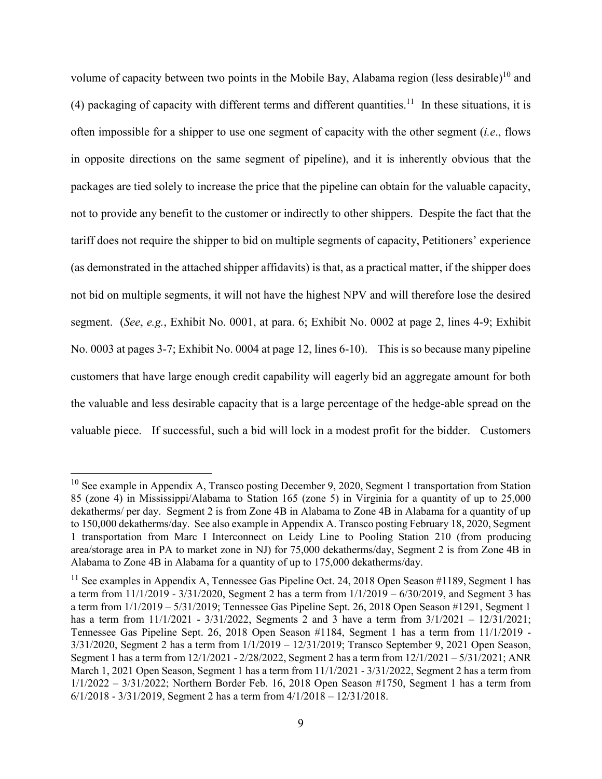volume of capacity between two points in the Mobile Bay, Alabama region (less desirable)<sup>[10](#page-8-0)</sup> and (4) packaging of capacity with different terms and different quantities.<sup>[11](#page-8-1)</sup> In these situations, it is often impossible for a shipper to use one segment of capacity with the other segment (*i.e*., flows in opposite directions on the same segment of pipeline), and it is inherently obvious that the packages are tied solely to increase the price that the pipeline can obtain for the valuable capacity, not to provide any benefit to the customer or indirectly to other shippers. Despite the fact that the tariff does not require the shipper to bid on multiple segments of capacity, Petitioners' experience (as demonstrated in the attached shipper affidavits) is that, as a practical matter, if the shipper does not bid on multiple segments, it will not have the highest NPV and will therefore lose the desired segment. (*See*, *e.g.*, Exhibit No. 0001, at para. 6; Exhibit No. 0002 at page 2, lines 4-9; Exhibit No. 0003 at pages 3-7; Exhibit No. 0004 at page 12, lines 6-10). This is so because many pipeline customers that have large enough credit capability will eagerly bid an aggregate amount for both the valuable and less desirable capacity that is a large percentage of the hedge-able spread on the valuable piece. If successful, such a bid will lock in a modest profit for the bidder. Customers

<span id="page-8-0"></span> $10$  See example in Appendix A, Transco posting December 9, 2020, Segment 1 transportation from Station 85 (zone 4) in Mississippi/Alabama to Station 165 (zone 5) in Virginia for a quantity of up to 25,000 dekatherms/ per day. Segment 2 is from Zone 4B in Alabama to Zone 4B in Alabama for a quantity of up to 150,000 dekatherms/day. See also example in Appendix A. Transco posting February 18, 2020, Segment 1 transportation from Marc I Interconnect on Leidy Line to Pooling Station 210 (from producing area/storage area in PA to market zone in NJ) for 75,000 dekatherms/day, Segment 2 is from Zone 4B in Alabama to Zone 4B in Alabama for a quantity of up to 175,000 dekatherms/day.

<span id="page-8-1"></span><sup>&</sup>lt;sup>11</sup> See examples in Appendix A, Tennessee Gas Pipeline Oct. 24, 2018 Open Season #1189, Segment 1 has a term from  $11/1/2019 - 3/31/2020$ , Segment 2 has a term from  $1/1/2019 - 6/30/2019$ , and Segment 3 has a term from 1/1/2019 – 5/31/2019; Tennessee Gas Pipeline Sept. 26, 2018 Open Season #1291, Segment 1 has a term from 11/1/2021 - 3/31/2022, Segments 2 and 3 have a term from 3/1/2021 – 12/31/2021; Tennessee Gas Pipeline Sept. 26, 2018 Open Season #1184, Segment 1 has a term from 11/1/2019 - 3/31/2020, Segment 2 has a term from 1/1/2019 – 12/31/2019; Transco September 9, 2021 Open Season, Segment 1 has a term from 12/1/2021 - 2/28/2022, Segment 2 has a term from 12/1/2021 – 5/31/2021; ANR March 1, 2021 Open Season, Segment 1 has a term from 11/1/2021 - 3/31/2022, Segment 2 has a term from 1/1/2022 – 3/31/2022; Northern Border Feb. 16, 2018 Open Season #1750, Segment 1 has a term from 6/1/2018 - 3/31/2019, Segment 2 has a term from 4/1/2018 – 12/31/2018.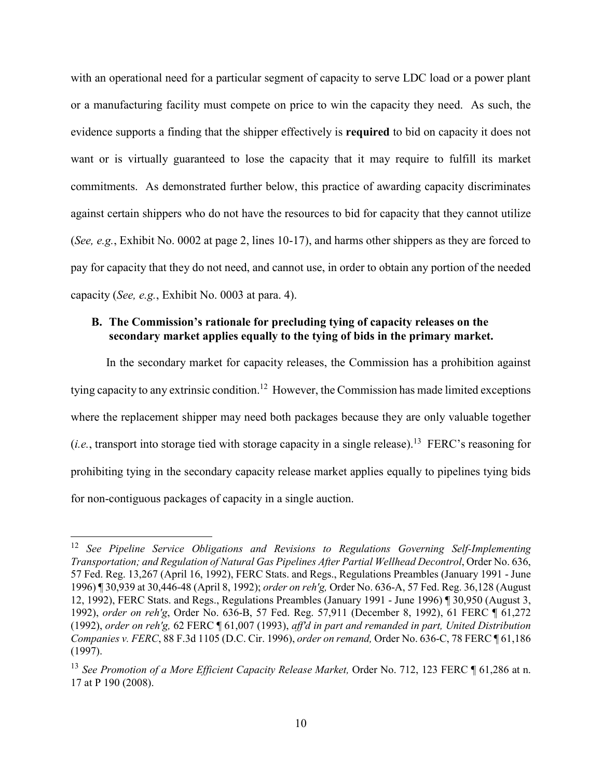with an operational need for a particular segment of capacity to serve LDC load or a power plant or a manufacturing facility must compete on price to win the capacity they need. As such, the evidence supports a finding that the shipper effectively is **required** to bid on capacity it does not want or is virtually guaranteed to lose the capacity that it may require to fulfill its market commitments. As demonstrated further below, this practice of awarding capacity discriminates against certain shippers who do not have the resources to bid for capacity that they cannot utilize (*See, e.g.*, Exhibit No. 0002 at page 2, lines 10-17), and harms other shippers as they are forced to pay for capacity that they do not need, and cannot use, in order to obtain any portion of the needed capacity (*See, e.g.*, Exhibit No. 0003 at para. 4).

## **B. The Commission's rationale for precluding tying of capacity releases on the secondary market applies equally to the tying of bids in the primary market.**

In the secondary market for capacity releases, the Commission has a prohibition against tying capacity to any extrinsic condition.<sup>[12](#page-9-0)</sup> However, the Commission has made limited exceptions where the replacement shipper may need both packages because they are only valuable together (*i.e.*, transport into storage tied with storage capacity in a single release).<sup>[13](#page-9-1)</sup> FERC's reasoning for prohibiting tying in the secondary capacity release market applies equally to pipelines tying bids for non-contiguous packages of capacity in a single auction.

<span id="page-9-0"></span><sup>12</sup> *See Pipeline Service Obligations and Revisions to Regulations Governing Self-Implementing Transportation; and Regulation of Natural Gas Pipelines After Partial Wellhead Decontrol*, Order No. 636, 57 Fed. Reg. 13,267 (April 16, 1992), FERC Stats. and Regs., Regulations Preambles (January 1991 - June 1996) ¶ 30,939 at 30,446-48 (April 8, 1992); *order on reh'g,* Order No. 636-A, 57 Fed. Reg. 36,128 (August 12, 1992), FERC Stats. and Regs., Regulations Preambles (January 1991 - June 1996) ¶ 30,950 (August 3, 1992), *order on reh'g*, Order No. 636-B, 57 Fed. Reg. 57,911 (December 8, 1992), 61 FERC ¶ 61,272 (1992), *order on reh'g,* 62 FERC ¶ 61,007 (1993), *aff'd in part and remanded in part, United Distribution Companies v. FERC*, 88 F.3d 1105 (D.C. Cir. 1996), *order on remand,* Order No. 636-C, 78 FERC ¶ 61,186 (1997).

<span id="page-9-1"></span><sup>&</sup>lt;sup>13</sup> See Promotion of a More Efficient Capacity Release Market, Order No. 712, 123 FERC ¶ 61,286 at n. 17 at P 190 (2008).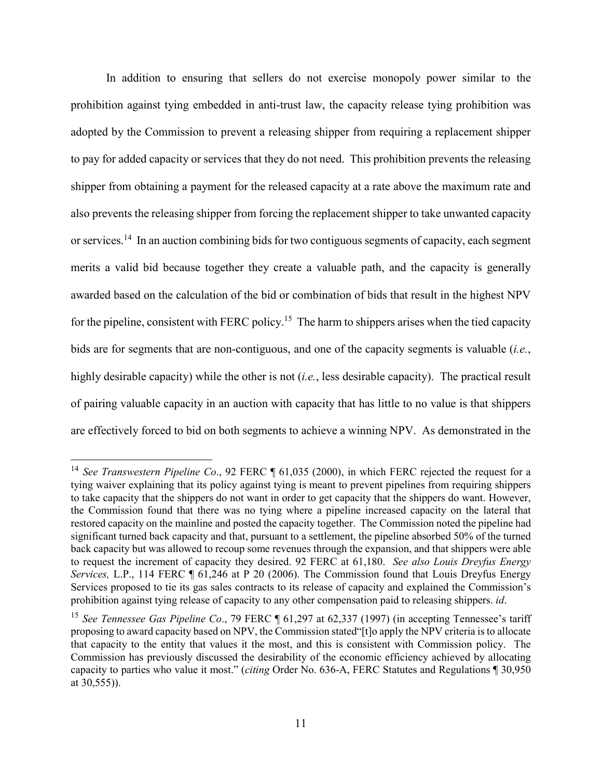In addition to ensuring that sellers do not exercise monopoly power similar to the prohibition against tying embedded in anti-trust law, the capacity release tying prohibition was adopted by the Commission to prevent a releasing shipper from requiring a replacement shipper to pay for added capacity or services that they do not need. This prohibition prevents the releasing shipper from obtaining a payment for the released capacity at a rate above the maximum rate and also prevents the releasing shipper from forcing the replacement shipper to take unwanted capacity or services.[14](#page-10-0) In an auction combining bids for two contiguous segments of capacity, each segment merits a valid bid because together they create a valuable path, and the capacity is generally awarded based on the calculation of the bid or combination of bids that result in the highest NPV for the pipeline, consistent with FERC policy.<sup>[15](#page-10-1)</sup> The harm to shippers arises when the tied capacity bids are for segments that are non-contiguous, and one of the capacity segments is valuable (*i.e.*, highly desirable capacity) while the other is not (*i.e.*, less desirable capacity). The practical result of pairing valuable capacity in an auction with capacity that has little to no value is that shippers are effectively forced to bid on both segments to achieve a winning NPV. As demonstrated in the

<span id="page-10-0"></span><sup>&</sup>lt;sup>14</sup> See Transwestern Pipeline Co., 92 FERC ¶ 61,035 (2000), in which FERC rejected the request for a tying waiver explaining that its policy against tying is meant to prevent pipelines from requiring shippers to take capacity that the shippers do not want in order to get capacity that the shippers do want. However, the Commission found that there was no tying where a pipeline increased capacity on the lateral that restored capacity on the mainline and posted the capacity together. The Commission noted the pipeline had significant turned back capacity and that, pursuant to a settlement, the pipeline absorbed 50% of the turned back capacity but was allowed to recoup some revenues through the expansion, and that shippers were able to request the increment of capacity they desired. 92 FERC at 61,180. *See also Louis Dreyfus Energy Services,* L.P., 114 FERC ¶ 61,246 at P 20 (2006). The Commission found that Louis Dreyfus Energy Services proposed to tie its gas sales contracts to its release of capacity and explained the Commission's prohibition against tying release of capacity to any other compensation paid to releasing shippers. *id*.

<span id="page-10-1"></span><sup>&</sup>lt;sup>15</sup> See Tennessee Gas Pipeline Co., 79 FERC ¶ 61,297 at 62,337 (1997) (in accepting Tennessee's tariff proposing to award capacity based on NPV, the Commission stated"[t]o apply the NPV criteria is to allocate that capacity to the entity that values it the most, and this is consistent with Commission policy. The Commission has previously discussed the desirability of the economic efficiency achieved by allocating capacity to parties who value it most." (*citing* Order No. 636-A, FERC Statutes and Regulations ¶ 30,950 at 30,555)).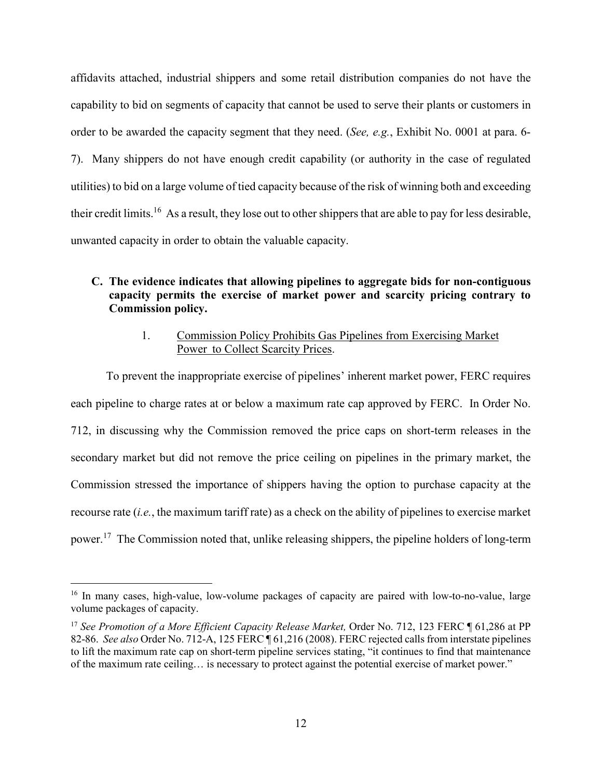affidavits attached, industrial shippers and some retail distribution companies do not have the capability to bid on segments of capacity that cannot be used to serve their plants or customers in order to be awarded the capacity segment that they need. (*See, e.g.*, Exhibit No. 0001 at para. 6- 7). Many shippers do not have enough credit capability (or authority in the case of regulated utilities) to bid on a large volume of tied capacity because of the risk of winning both and exceeding their credit limits.[16](#page-11-0) As a result, they lose out to other shippers that are able to pay for less desirable, unwanted capacity in order to obtain the valuable capacity.

# **C. The evidence indicates that allowing pipelines to aggregate bids for non-contiguous capacity permits the exercise of market power and scarcity pricing contrary to Commission policy.**

## 1. Commission Policy Prohibits Gas Pipelines from Exercising Market Power to Collect Scarcity Prices.

To prevent the inappropriate exercise of pipelines' inherent market power, FERC requires each pipeline to charge rates at or below a maximum rate cap approved by FERC. In Order No. 712, in discussing why the Commission removed the price caps on short-term releases in the secondary market but did not remove the price ceiling on pipelines in the primary market, the Commission stressed the importance of shippers having the option to purchase capacity at the recourse rate (*i.e.*, the maximum tariff rate) as a check on the ability of pipelines to exercise market power.<sup>[17](#page-11-1)</sup> The Commission noted that, unlike releasing shippers, the pipeline holders of long-term

<span id="page-11-0"></span><sup>&</sup>lt;sup>16</sup> In many cases, high-value, low-volume packages of capacity are paired with low-to-no-value, large volume packages of capacity.

<span id="page-11-1"></span><sup>&</sup>lt;sup>17</sup> See Promotion of a More Efficient Capacity Release Market, Order No. 712, 123 FERC ¶ 61,286 at PP 82-86. *See also* Order No. 712-A, 125 FERC ¶ 61,216 (2008). FERC rejected calls from interstate pipelines to lift the maximum rate cap on short-term pipeline services stating, "it continues to find that maintenance of the maximum rate ceiling… is necessary to protect against the potential exercise of market power."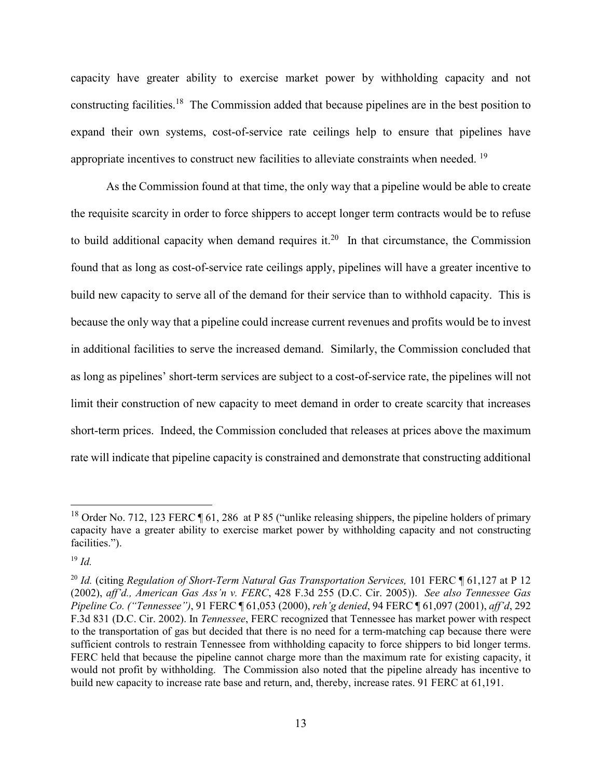capacity have greater ability to exercise market power by withholding capacity and not constructing facilities.[18](#page-12-0) The Commission added that because pipelines are in the best position to expand their own systems, cost-of-service rate ceilings help to ensure that pipelines have appropriate incentives to construct new facilities to alleviate constraints when needed. <sup>[19](#page-12-1)</sup>

As the Commission found at that time, the only way that a pipeline would be able to create the requisite scarcity in order to force shippers to accept longer term contracts would be to refuse to build additional capacity when demand requires it.<sup>[20](#page-12-2)</sup> In that circumstance, the Commission found that as long as cost-of-service rate ceilings apply, pipelines will have a greater incentive to build new capacity to serve all of the demand for their service than to withhold capacity. This is because the only way that a pipeline could increase current revenues and profits would be to invest in additional facilities to serve the increased demand. Similarly, the Commission concluded that as long as pipelines' short-term services are subject to a cost-of-service rate, the pipelines will not limit their construction of new capacity to meet demand in order to create scarcity that increases short-term prices. Indeed, the Commission concluded that releases at prices above the maximum rate will indicate that pipeline capacity is constrained and demonstrate that constructing additional

<span id="page-12-0"></span><sup>&</sup>lt;sup>18</sup> Order No. 712, 123 FERC  $\P$  61, 286 at P 85 ("unlike releasing shippers, the pipeline holders of primary capacity have a greater ability to exercise market power by withholding capacity and not constructing facilities.").

<span id="page-12-1"></span><sup>19</sup> *Id.*

<span id="page-12-2"></span><sup>&</sup>lt;sup>20</sup> Id. (citing *Regulation of Short-Term Natural Gas Transportation Services,* 101 FERC ¶ 61,127 at P 12 (2002), *aff'd., American Gas Ass'n v. FERC*, 428 F.3d 255 (D.C. Cir. 2005)). *See also Tennessee Gas Pipeline Co. ("Tennessee")*, 91 FERC ¶ 61,053 (2000), *reh'g denied*, 94 FERC ¶ 61,097 (2001), *aff'd*, 292 F.3d 831 (D.C. Cir. 2002). In *Tennessee*, FERC recognized that Tennessee has market power with respect to the transportation of gas but decided that there is no need for a term-matching cap because there were sufficient controls to restrain Tennessee from withholding capacity to force shippers to bid longer terms. FERC held that because the pipeline cannot charge more than the maximum rate for existing capacity, it would not profit by withholding. The Commission also noted that the pipeline already has incentive to build new capacity to increase rate base and return, and, thereby, increase rates. 91 FERC at 61,191.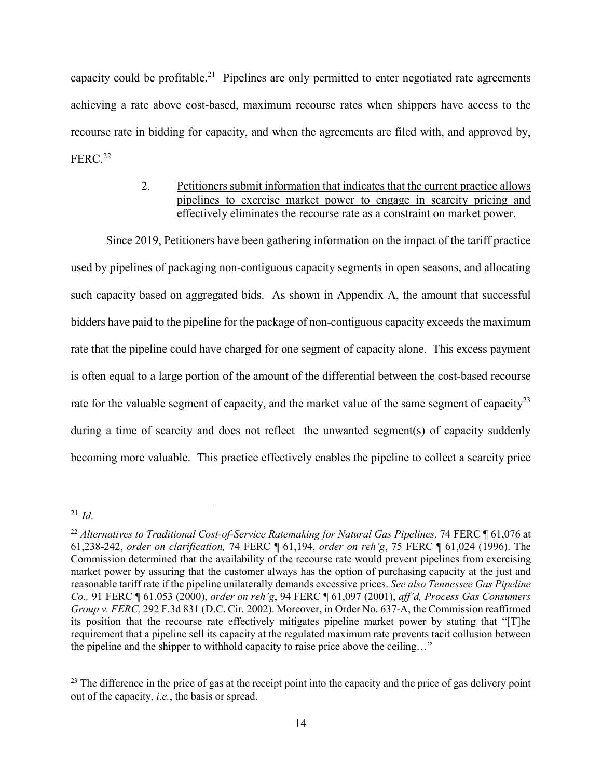capacity could be profitable.<sup>[21](#page-13-0)</sup> Pipelines are only permitted to enter negotiated rate agreements achieving a rate above cost-based, maximum recourse rates when shippers have access to the recourse rate in bidding for capacity, and when the agreements are filed with, and approved by,  $FERC.22$  $FERC.22$ 

# 2. Petitioners submit information that indicates that the current practice allows pipelines to exercise market power to engage in scarcity pricing and effectively eliminates the recourse rate as a constraint on market power.

Since 2019, Petitioners have been gathering information on the impact of the tariff practice used by pipelines of packaging non-contiguous capacity segments in open seasons, and allocating such capacity based on aggregated bids. As shown in Appendix A, the amount that successful bidders have paid to the pipeline for the package of non-contiguous capacity exceeds the maximum rate that the pipeline could have charged for one segment of capacity alone. This excess payment is often equal to a large portion of the amount of the differential between the cost-based recourse rate for the valuable segment of capacity, and the market value of the same segment of capacity<sup>[23](#page-13-2)</sup> during a time of scarcity and does not reflect the unwanted segment(s) of capacity suddenly becoming more valuable. This practice effectively enables the pipeline to collect a scarcity price

<span id="page-13-0"></span> $\overline{a}$ <sup>21</sup> *Id*.

<span id="page-13-1"></span><sup>&</sup>lt;sup>22</sup> Alternatives to Traditional Cost-of-Service Ratemaking for Natural Gas Pipelines, 74 FERC ¶ 61,076 at 61,238-242, *order on clarification,* 74 FERC ¶ 61,194, *order on reh'g*, 75 FERC ¶ 61,024 (1996). The Commission determined that the availability of the recourse rate would prevent pipelines from exercising market power by assuring that the customer always has the option of purchasing capacity at the just and reasonable tariff rate if the pipeline unilaterally demands excessive prices. *See also Tennessee Gas Pipeline Co.,* 91 FERC ¶ 61,053 (2000), *order on reh'g*, 94 FERC ¶ 61,097 (2001), *aff'd, Process Gas Consumers Group v. FERC,* 292 F.3d 831 (D.C. Cir. 2002). Moreover, in Order No. 637-A, the Commission reaffirmed its position that the recourse rate effectively mitigates pipeline market power by stating that "[T]he requirement that a pipeline sell its capacity at the regulated maximum rate prevents tacit collusion between the pipeline and the shipper to withhold capacity to raise price above the ceiling…"

<span id="page-13-2"></span><sup>&</sup>lt;sup>23</sup> The difference in the price of gas at the receipt point into the capacity and the price of gas delivery point out of the capacity, *i.e.*, the basis or spread.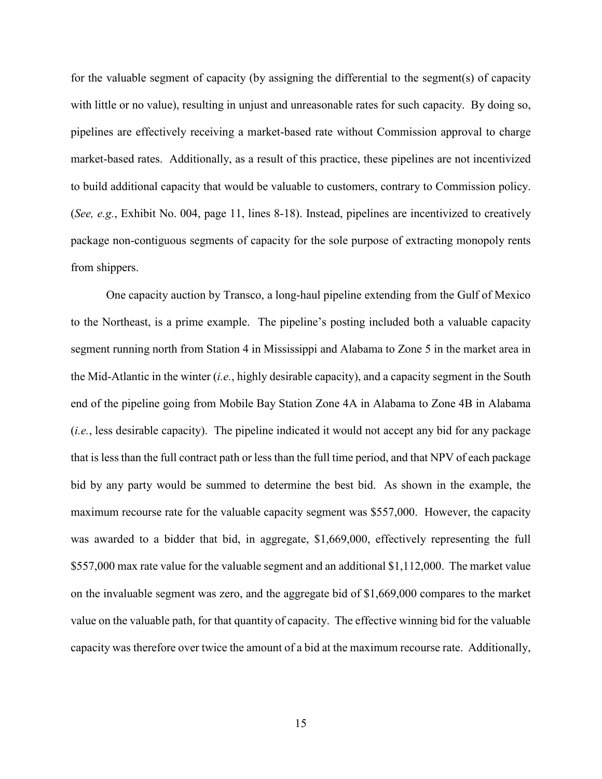for the valuable segment of capacity (by assigning the differential to the segment(s) of capacity with little or no value), resulting in unjust and unreasonable rates for such capacity. By doing so, pipelines are effectively receiving a market-based rate without Commission approval to charge market-based rates. Additionally, as a result of this practice, these pipelines are not incentivized to build additional capacity that would be valuable to customers, contrary to Commission policy. (*See, e.g.*, Exhibit No. 004, page 11, lines 8-18). Instead, pipelines are incentivized to creatively package non-contiguous segments of capacity for the sole purpose of extracting monopoly rents from shippers.

One capacity auction by Transco, a long-haul pipeline extending from the Gulf of Mexico to the Northeast, is a prime example. The pipeline's posting included both a valuable capacity segment running north from Station 4 in Mississippi and Alabama to Zone 5 in the market area in the Mid-Atlantic in the winter (*i.e.*, highly desirable capacity), and a capacity segment in the South end of the pipeline going from Mobile Bay Station Zone 4A in Alabama to Zone 4B in Alabama (*i.e.*, less desirable capacity). The pipeline indicated it would not accept any bid for any package that is less than the full contract path or less than the full time period, and that NPV of each package bid by any party would be summed to determine the best bid. As shown in the example, the maximum recourse rate for the valuable capacity segment was \$557,000. However, the capacity was awarded to a bidder that bid, in aggregate, \$1,669,000, effectively representing the full \$557,000 max rate value for the valuable segment and an additional \$1,112,000. The market value on the invaluable segment was zero, and the aggregate bid of \$1,669,000 compares to the market value on the valuable path, for that quantity of capacity. The effective winning bid for the valuable capacity was therefore over twice the amount of a bid at the maximum recourse rate. Additionally,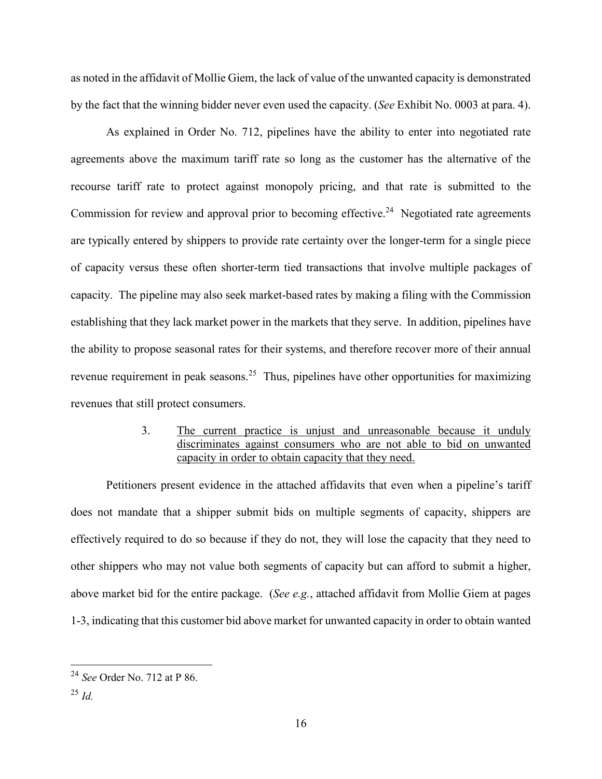as noted in the affidavit of Mollie Giem, the lack of value of the unwanted capacity is demonstrated by the fact that the winning bidder never even used the capacity. (*See* Exhibit No. 0003 at para. 4).

As explained in Order No. 712, pipelines have the ability to enter into negotiated rate agreements above the maximum tariff rate so long as the customer has the alternative of the recourse tariff rate to protect against monopoly pricing, and that rate is submitted to the Commission for review and approval prior to becoming effective.<sup>[24](#page-15-0)</sup> Negotiated rate agreements are typically entered by shippers to provide rate certainty over the longer-term for a single piece of capacity versus these often shorter-term tied transactions that involve multiple packages of capacity. The pipeline may also seek market-based rates by making a filing with the Commission establishing that they lack market power in the markets that they serve. In addition, pipelines have the ability to propose seasonal rates for their systems, and therefore recover more of their annual revenue requirement in peak seasons.<sup>[25](#page-15-1)</sup> Thus, pipelines have other opportunities for maximizing revenues that still protect consumers.

# 3. The current practice is unjust and unreasonable because it unduly discriminates against consumers who are not able to bid on unwanted capacity in order to obtain capacity that they need.

Petitioners present evidence in the attached affidavits that even when a pipeline's tariff does not mandate that a shipper submit bids on multiple segments of capacity, shippers are effectively required to do so because if they do not, they will lose the capacity that they need to other shippers who may not value both segments of capacity but can afford to submit a higher, above market bid for the entire package. (*See e.g.*, attached affidavit from Mollie Giem at pages 1-3, indicating that this customer bid above market for unwanted capacity in order to obtain wanted

<span id="page-15-0"></span><sup>24</sup> *See* Order No. 712 at P 86.

<span id="page-15-1"></span><sup>25</sup> *Id.*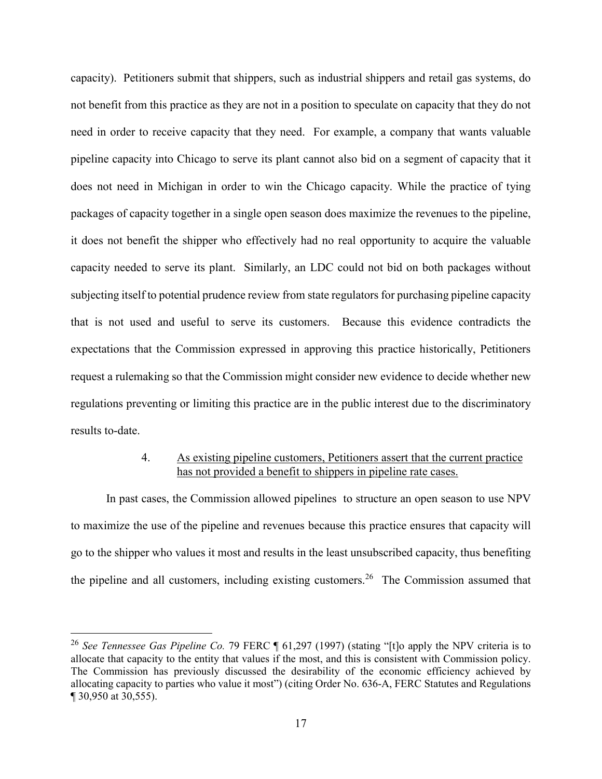capacity). Petitioners submit that shippers, such as industrial shippers and retail gas systems, do not benefit from this practice as they are not in a position to speculate on capacity that they do not need in order to receive capacity that they need. For example, a company that wants valuable pipeline capacity into Chicago to serve its plant cannot also bid on a segment of capacity that it does not need in Michigan in order to win the Chicago capacity. While the practice of tying packages of capacity together in a single open season does maximize the revenues to the pipeline, it does not benefit the shipper who effectively had no real opportunity to acquire the valuable capacity needed to serve its plant. Similarly, an LDC could not bid on both packages without subjecting itself to potential prudence review from state regulators for purchasing pipeline capacity that is not used and useful to serve its customers. Because this evidence contradicts the expectations that the Commission expressed in approving this practice historically, Petitioners request a rulemaking so that the Commission might consider new evidence to decide whether new regulations preventing or limiting this practice are in the public interest due to the discriminatory results to-date.

## 4. As existing pipeline customers, Petitioners assert that the current practice has not provided a benefit to shippers in pipeline rate cases.

In past cases, the Commission allowed pipelines to structure an open season to use NPV to maximize the use of the pipeline and revenues because this practice ensures that capacity will go to the shipper who values it most and results in the least unsubscribed capacity, thus benefiting the pipeline and all customers, including existing customers.<sup>[26](#page-16-0)</sup> The Commission assumed that

<span id="page-16-0"></span><sup>26</sup> *See Tennessee Gas Pipeline Co.* 79 FERC ¶ 61,297 (1997) (stating "[t]o apply the NPV criteria is to allocate that capacity to the entity that values if the most, and this is consistent with Commission policy. The Commission has previously discussed the desirability of the economic efficiency achieved by allocating capacity to parties who value it most") (citing Order No. 636-A, FERC Statutes and Regulations ¶ 30,950 at 30,555).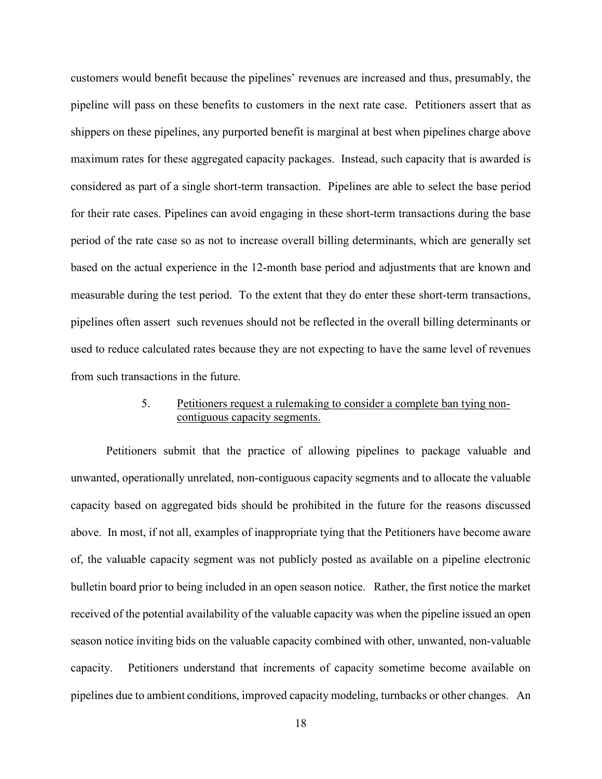customers would benefit because the pipelines' revenues are increased and thus, presumably, the pipeline will pass on these benefits to customers in the next rate case. Petitioners assert that as shippers on these pipelines, any purported benefit is marginal at best when pipelines charge above maximum rates for these aggregated capacity packages. Instead, such capacity that is awarded is considered as part of a single short-term transaction. Pipelines are able to select the base period for their rate cases. Pipelines can avoid engaging in these short-term transactions during the base period of the rate case so as not to increase overall billing determinants, which are generally set based on the actual experience in the 12-month base period and adjustments that are known and measurable during the test period. To the extent that they do enter these short-term transactions, pipelines often assert such revenues should not be reflected in the overall billing determinants or used to reduce calculated rates because they are not expecting to have the same level of revenues from such transactions in the future.

# 5. Petitioners request a rulemaking to consider a complete ban tying noncontiguous capacity segments.

Petitioners submit that the practice of allowing pipelines to package valuable and unwanted, operationally unrelated, non-contiguous capacity segments and to allocate the valuable capacity based on aggregated bids should be prohibited in the future for the reasons discussed above. In most, if not all, examples of inappropriate tying that the Petitioners have become aware of, the valuable capacity segment was not publicly posted as available on a pipeline electronic bulletin board prior to being included in an open season notice. Rather, the first notice the market received of the potential availability of the valuable capacity was when the pipeline issued an open season notice inviting bids on the valuable capacity combined with other, unwanted, non-valuable capacity. Petitioners understand that increments of capacity sometime become available on pipelines due to ambient conditions, improved capacity modeling, turnbacks or other changes. An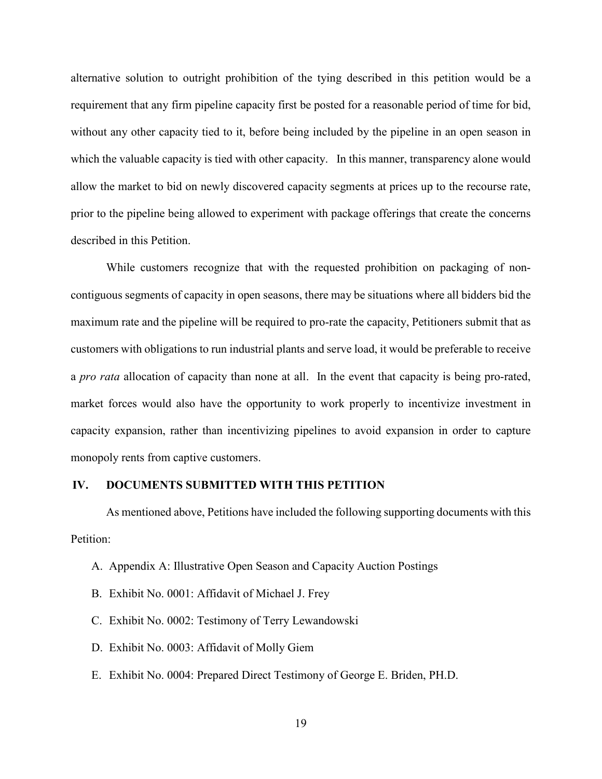alternative solution to outright prohibition of the tying described in this petition would be a requirement that any firm pipeline capacity first be posted for a reasonable period of time for bid, without any other capacity tied to it, before being included by the pipeline in an open season in which the valuable capacity is tied with other capacity. In this manner, transparency alone would allow the market to bid on newly discovered capacity segments at prices up to the recourse rate, prior to the pipeline being allowed to experiment with package offerings that create the concerns described in this Petition.

While customers recognize that with the requested prohibition on packaging of noncontiguous segments of capacity in open seasons, there may be situations where all bidders bid the maximum rate and the pipeline will be required to pro-rate the capacity, Petitioners submit that as customers with obligations to run industrial plants and serve load, it would be preferable to receive a *pro rata* allocation of capacity than none at all. In the event that capacity is being pro-rated, market forces would also have the opportunity to work properly to incentivize investment in capacity expansion, rather than incentivizing pipelines to avoid expansion in order to capture monopoly rents from captive customers.

#### **IV. DOCUMENTS SUBMITTED WITH THIS PETITION**

As mentioned above, Petitions have included the following supporting documents with this Petition:

- A. Appendix A: Illustrative Open Season and Capacity Auction Postings
- B. Exhibit No. 0001: Affidavit of Michael J. Frey
- C. Exhibit No. 0002: Testimony of Terry Lewandowski
- D. Exhibit No. 0003: Affidavit of Molly Giem
- E. Exhibit No. 0004: Prepared Direct Testimony of George E. Briden, PH.D.